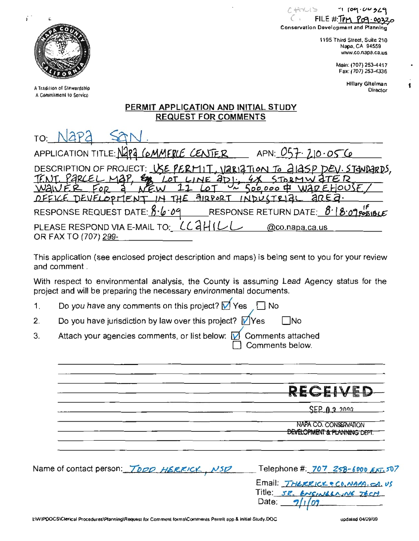1*00 3*29  $FILE # T P$ Conservation Development and Planning

> 1195 Third Street, Suite 210 Napa, CA 94559 www.co.napa.ca.us

> > Main: (707) 253-4417 Fax: (707) 253-4336

> > > **Hillary Gitelman** Director

f

## PERMIT APPLICATION AND INITIAL STUDY **REQUEST FOR COMMENTS**

| TO:                                                                                                                                  |
|--------------------------------------------------------------------------------------------------------------------------------------|
| APPLICATION TITLE: Napa COMMERCE CENTER<br>APN: $057.210.056$                                                                        |
| DESCRIPTION OF PROJECT: USE PERMIT, VARIATION To ALASP DEV. STANDARDS<br>LOT LINE 201.<br><u>. PARCEL MAP.</u><br>X STORMWATER<br>Em |
| <u>Sococo &amp; WAREHOUSE</u><br>NEW                                                                                                 |
| DEFICE DEVELOPMENT IN THE AIRPORT INDUSTRIAL AREA.                                                                                   |
| RESPONSE RETURN DATE: $\beta$ <sup>-</sup>   $\beta$ -09 POSIBLE<br>RESPONSE REQUEST DATE: 8.6.09                                    |
| PLEASE RESPOND VIA E-MAIL TO: CCAHIL<br>@co.napa.ca.us<br>OR FAX TO (707) 299-                                                       |

This application (see enclosed project description and maps) is being sent to you for your review and comment.

With respect to environmental analysis, the County is assuming Lead Agency status for the project and will be preparing the necessary environmental documents.

Do you have any comments on this project?  $\sqrt{ }$  Yes No ا  $1<sub>1</sub>$ 

Do you have jurisdiction by law over this project?  $\sqrt{\ }$  Yes  $\square$ No  $2.$ 

Attach your agencies comments, or list below:  $\overline{M}$ Comments attached 3. Comments below.

|                                           | RECEIVED                                                                           |
|-------------------------------------------|------------------------------------------------------------------------------------|
|                                           | $SER$ $13$ 2000                                                                    |
|                                           | NAPA CO. CONSERVATION<br>DEVELOPMENT & PLANNING DEPT.                              |
| Name of contact person: TOOD HERRICK, NSD | Telephone # 707 258-6000 EXT. 507                                                  |
|                                           | Email THERRICK & CO, NAPA. CA. US<br>Title: SR. ENGINEERING TEST<br>91/09<br>Date: |



A Tradition of Stewardship A Commitment to Service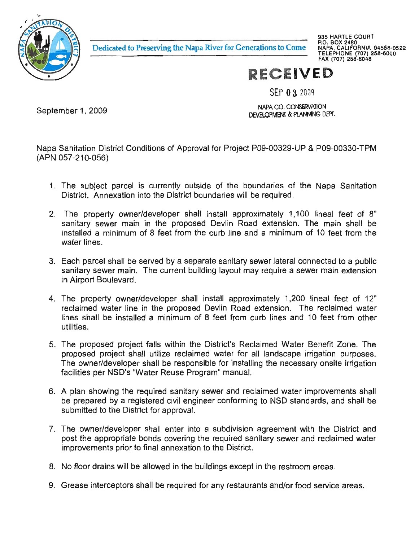

Dedicated to Preserving the Napa River for Generations to Come

935 HARTLE COURT P.O. BOX 2480 **FOR SON 248<br>TELEPHONE (707) 258-6000<br>FAX (707) 258-6048<br>FAX (707) 258-6048** 

## **RECEIVED**

SEP 0 3 2009

September 1, 2009

NAPA CO. CONSERVATION DEVELOPMENT & PLANNING DEPT.

Napa Sanitation District Conditions of Approval for Project P09-00329-UP & P09-00330-TPM (APN 057-210-056)

- is currently outside of the boundaries of the Napa Sanit<br>into the District boundaries will be required.<br>"Charakters" is a bell in the best of the set of the set feet. District. e<br>、 water in the second term in the second term in the second term in the second term in the second term in the second term in the second term in the second term in the second term in the second term in the second term in the y outside of the boundaries<br>strict boundaries will be requir าเ<br>a u<br>d o<br>ic<br>sl n<br>D p<br>C el<br>D e subject p<br>.trict. Annex Grease
- ly 1,100 lineal feet<br>nsion. The main sha parcel  $S$ <br>fi property<br>Property<br>Property e<br>1 ain in the proposed Devlin Road extension. T n<br>Ic posed Devilli Road exters<br>m the curb line and a mini se<br>S trict. Annexation into the District boundanes will be r<br>|-<br>| e | property | owner/developer shall | install | approxim e<br>a pp<br>Ri '<br>r al<br>se<br>th er<br>ord<br>a et<br>1 e property owner/de<br>hitary sewer main in<br>talled a minimum of 8<br>ter.lines ...<br>|<br>| y<br>ein<br>sh ev<br>;<br>; im<br>Prove<br>Prove ter line<br> interceptors
- itary sewer lateral connected to a p cı<br>ol nnected to ;<br>wer main ex te<br>ne<br>al 13 served Take<br>but may require ry<br>tr<br>om i<br>a ant building l<mark>a</mark> water lines.<br>Each parcel shall be served by a sepa .<br>sanitary sewer main. The current buil utilize ים<br>זו rcer snall be serv<br>sewer main, Th<br>t Boulevard, registered DE<br>In er main<br>Ilevard i<br>Ni
- i<br>In e<br>er shall install approximately<br>Incoressed Devlin Reed extensive p<br>d<br>al ne<br>n erty owner/dev<br>water line in t<br>be installed a ap<br>R<br>fr ا:<br>e required ne<br>) re<br>) 1 in e property owner/developer shall install approximately 1,200 is<br>laimed water line in the proposed Devlin Road extension. The r<br>D<br>nl n<br>»Տ<br>m ter line in the proposed Devlin Roa<br>Einstalled a minimum of 8 feet from i<br>ec v<br>c ic<br>e ie reci<br>10 fee Program" building bu<br>e utilities.
- utilities.<br>The proposed project falls within the District's Reclaimed Water Benefit Zone.<br>proposed project shall utilize reclaimed water for all landscape irrigation purpo rrigation purpo וכ<br>נו onsite in<br> .u<br>ns<br>;, sed project falls within the District's Reclaimed <mark>\</mark><br>project shall utilize reclaimed water for all lands<br>/developer shall be responsible for installing the n or<br>ita<br>m raimed water<br>ponsible for in<br>Drogram" mar r rogram m ie<br>n וי<br>פ<br>ש ie<br>e<br>Se m<br>e<br>P sewer ct<br>al<br>r : s<br>je<br>js d<br>D<br>D p<br>e<br>ili
- b<br>b<br>la en<br>Is n<br>d n<br>da sewer  $\overline{\phantom{a}}$ equired sanitary sewer and reclaime<br>istered civil engineer conforming to N  $\frac{1}{2}$ nd<br>fo ta<br>en<br><sub>/a</sub> equired san te<br>u  $\mathsf{f}$ n<br>b:<br>th ilities per<br>Jan show sewer r<br>Pr
- th the District claimed v ti<br>Th Into a subdivision agreement with<br>ing the required sanitary sewer and<br>ation to the District. m<br>ie e<br>V The owner/developer shall enter into a subdiv rec<br>ex  $\frac{1}{2}$  prior to final annexation to the  $\frac{1}{2}$  $\frac{1}{1}$ n<br>e<br>re ina<br>ne<br>llc r<br>bi<br>גר .<br>Rec it<br>Ir
- as buildings except in the restroom and S<br>District the set of the set of the set of the set of the set of the set of the set of the set of the set of the set of the set of the set of the set of the set of the set of the set of the set of the set of the set of th
- a: narca.<br>d servi If the required for any restaurants and/or food e<br>ie ne<br>re .<br>h and er<br>E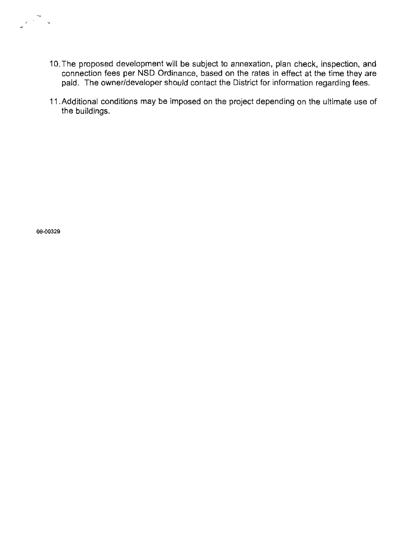- 10. The proposed development will be subject to annexation, plan check, inspection, and connection fees per NSD Ordinance, based on the rates in effect at the time they are paid. The owner/developer should contact the District for information regarding fees.
- 11. Additional conditions may be imposed on the project depending on the ultimate use of the buildings.

09-00329

 $\begin{array}{ccccc}\n\ddots & & & \infty & \\
\downarrow & & & \infty & \\
\end{array}$